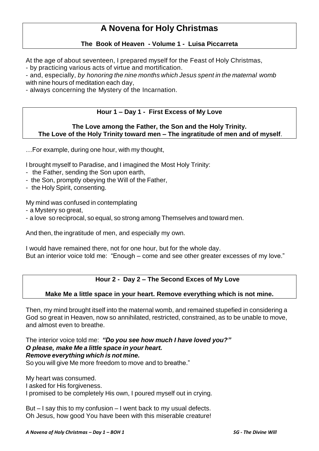# **A Novena for Holy Christmas**

#### **The Book of Heaven - Volume 1 - Luisa Piccarreta**

At the age of about seventeen, I prepared myself for the Feast of Holy Christmas,

- by practicing various acts of virtue and mortification.

- and, especially, *by honoring the nine months which Jesus spent in the maternal womb* with nine hours of meditation each day,

- always concerning the Mystery of the Incarnation.

### **Hour 1 – Day 1 - First Excess of My Love**

#### **The Love among the Father, the Son and the Holy Trinity. The Love of the Holy Trinity toward men – The ingratitude of men and of myself**.

…For example, during one hour, with my thought,

I brought myself to Paradise, and I imagined the Most Holy Trinity:

- the Father, sending the Son upon earth,
- the Son, promptly obeying the Will of the Father,
- the Holy Spirit, consenting.

My mind was confused in contemplating

- a Mystery so great,
- a love so reciprocal, so equal, so strong among Themselves and toward men.

And then, the ingratitude of men, and especially my own.

I would have remained there, not for one hour, but for the whole day. But an interior voice told me: "Enough – come and see other greater excesses of my love."

#### **Hour 2 - Day 2 – The Second Exces of My Love**

#### **Make Me a little space in your heart. Remove everything which is not mine.**

Then, my mind brought itself into the maternal womb, and remained stupefied in considering a God so great in Heaven, now so annihilated, restricted, constrained, as to be unable to move, and almost even to breathe.

The interior voice told me: *"Do you see how much I have loved you?" O please, make Me a little space in your heart. Remove everything which is not mine.* So you will give Me more freedom to move and to breathe."

My heart was consumed. I asked for His forgiveness. I promised to be completely His own, I poured myself out in crying.

But – I say this to my confusion – I went back to my usual defects. Oh Jesus, how good You have been with this miserable creature!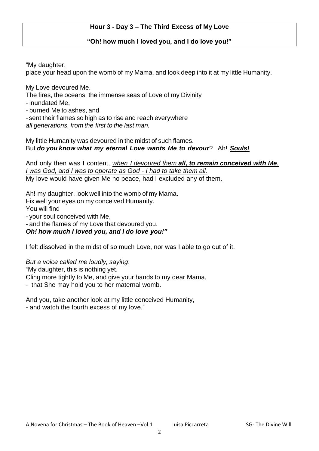# **Hour 3 - Day 3 – The Third Excess of My Love**

## **"Oh! how much I loved you, and I do love you!"**

"My daughter,

place your head upon the womb of my Mama, and look deep into it at my little Humanity.

My Love devoured Me.

The fires, the oceans, the immense seas of Love of my Divinity

- inundated Me,

- burned Me to ashes, and

- sent their flames so high as to rise and reach everywhere *all generations, from the first to the last man.*

My little Humanity was devoured in the midst of such flames. But *do you know what my eternal Love wants Me to devour*? Ah! *Souls!*

And only then was I content, *when I devoured them all, to remain conceived with Me. I was God, and I was to operate as God - I had to take them all.* My love would have given Me no peace, had I excluded any of them.

Ah! my daughter, look well into the womb of my Mama. Fix well your eyes on my conceived Humanity. You will find - your soul conceived with Me, - and the flames of my Love that devoured you. *Oh! how much I loved you, and I do love you!"*

I felt dissolved in the midst of so much Love, nor was I able to go out of it.

*But a voice called me loudly, saying*:

"My daughter, this is nothing yet. Cling more tightly to Me, and give your hands to my dear Mama, - that She may hold you to her maternal womb.

And you, take another look at my little conceived Humanity, - and watch the fourth excess of my love."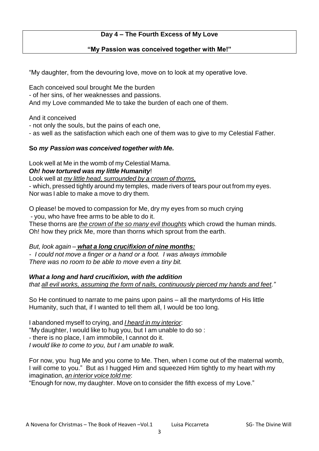# **Day 4 – The Fourth Excess of My Love**

#### **"My Passion was conceived together with Me!"**

"My daughter, from the devouring love, move on to look at my operative love.

Each conceived soul brought Me the burden - of her sins, of her weaknesses and passions. And my Love commanded Me to take the burden of each one of them.

And it conceived

- not only the souls, but the pains of each one,

- as well as the satisfaction which each one of them was to give to my Celestial Father.

### **So** *my Passion was conceived together with Me.*

Look well at Me in the womb of my Celestial Mama.

### *Oh! how tortured was my little Humanity*!

Look well at *my little head, surrounded by a crown of thorns,* - which, pressed tightly around my temples, made rivers of tears pour out from my eyes. Nor was I able to make a move to dry them.

O please! be moved to compassion for Me, dry my eyes from so much crying - you, who have free arms to be able to do it. These thorns are *the crown of the so many evil thoughts* which crowd the human minds. Oh! how they prick Me, more than thorns which sprout from the earth.

#### *But, look again – what a long crucifixion of nine months: - I could not move a finger or a hand or a foot. I was always immobile There was no room to be able to move even a tiny bit.*

*What a long and hard crucifixion, with the addition*

*that all evil works, assuming the form of nails, continuously pierced my hands and feet."*

So He continued to narrate to me pains upon pains – all the martyrdoms of His little Humanity, such that, if I wanted to tell them all, I would be too long.

I abandoned myself to crying, and *I heard in my interior*: "My daughter, I would like to hug you, but I am unable to do so : - there is no place, I am immobile, I cannot do it. *I would like to come to you, but I am unable to walk.*

For now, you hug Me and you come to Me. Then, when I come out of the maternal womb, I will come to you." But as I hugged Him and squeezed Him tightly to my heart with my imagination, *an interior voice told me*:

"Enough for now, my daughter. Move on to consider the fifth excess of my Love."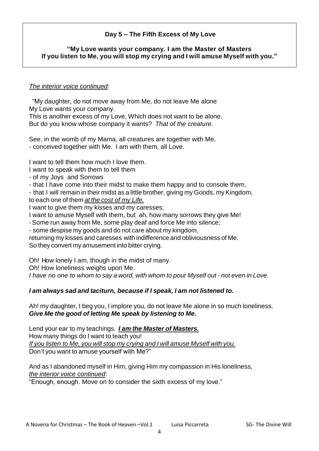# **Day 5 – The Fifth Excess of My Love**

## **"My Love wants your company. I am the Master of Masters If you listen to Me, you will stop my crying and I will amuse Myself with you."**

#### *The interior voice continued*:

"My daughter, do not move away from Me, do not leave Me alone My Love wants your company.

This is another excess of my Love, Which does not want to be alone. But do you know whose company it wants? *That of the creature*.

See, in the womb of my Mama, all creatures are together with Me, - conceived together with Me. I am with them, all Love.

I want to tell them how much I love them.

- I want to speak with them to tell them
- of my Joys and Sorrows
- that I have come into their midst to make them happy and to console them,

- that I will remain in their midst as a little brother, giving my Goods, my Kingdom, to each one of them *at the cost of my Life.*

I want to give them my kisses and my caresses;

- I want to amuse Myself with them, but ah, how many sorrows they give Me!
- -Some run away from Me, some play deaf and force Me into silence;

- some despise my goods and do not care about my kingdom,

returning my kisses and caresses with indifference and obliviousness of Me. So they convert my amusement into bitter crying.

Oh! How lonely I am, though in the midst of many.

Oh! How loneliness weighs upon Me.

*I have no one to whom to say a word, with whom to pour Myself out - not even in Love.*

# *I am always sad and taciturn, because if I speak, I am not listened to.*

Ah! my daughter, I beg you, I implore you, do not leave Me alone in so much loneliness. *Give Me the good of letting Me speak by listening to Me.*

Lend your ear to my teachings. *I am the Master of Masters.* How many things do I want to teach you! *If you listen to Me, you will stop my crying and I will amuse Myself with you.* Don't you want to amuse yourself with Me?"

And as I abandoned myself in Him, giving Him my compassion in His loneliness, *the interior voice continued*:

"Enough, enough. Move on to consider the sixth excess of my love."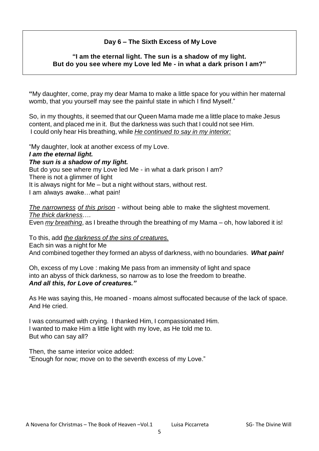# **Day 6 – The Sixth Excess of My Love**

#### **"I am the eternal light. The sun is a shadow of my light. But do you see where my Love led Me - in what a dark prison I am?"**

**"**My daughter, come, pray my dear Mama to make a little space for you within her maternal womb, that you yourself may see the painful state in which I find Myself."

So, in my thoughts, it seemed that our Queen Mama made me a little place to make Jesus content, and placed me in it. But the darkness was such that I could not see Him. I could only hear His breathing, while *He continued to say in my interior:*

"My daughter, look at another excess of my Love.

#### *I am the eternal light.*

# *The sun is a shadow of my light.*

But do you see where my Love led Me - in what a dark prison I am? There is not a glimmer of light

It is always night for Me – but a night without stars, without rest.

I am always awake…what pain!

*The narrowness of this prison* - without being able to make the slightest movement. *The thick darkness*….

Even *my breathing*, as I breathe through the breathing of my Mama – oh, how labored it is!

To this, add *the darkness of the sins of creatures.* Each sin was a night for Me And combined together they formed an abyss of darkness, with no boundaries. *What pain!*

Oh, excess of my Love : making Me pass from an immensity of light and space into an abyss of thick darkness, so narrow as to lose the freedom to breathe. *And all this, for Love of creatures."*

As He was saying this, He moaned - moans almost suffocated because of the lack of space. And He cried.

I was consumed with crying. I thanked Him, I compassionated Him. I wanted to make Him a little light with my love, as He told me to. But who can say all?

Then, the same interior voice added: "Enough for now; move on to the seventh excess of my Love."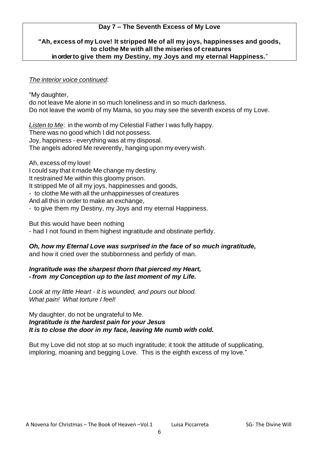# **Day 7 – The Seventh Excess of My Love**

## **"Ah, excess of my Love! It stripped Me of all my joys, happinesses and goods, to clothe Me with all the miseries of creatures in order to give them my Destiny, my Joys and my eternal Happiness.**"

### *The interior voice continued*:

"My daughter,

do not leave Me alone in so much loneliness and in so much darkness. Do not leave the womb of my Mama, so you may see the seventh excess of my Love.

*Listen to Me*: in the womb of my Celestial Father I was fully happy. There was no good which I did not possess. Joy, happiness - everything was at my disposal. The angels adored Me reverently, hanging upon my every wish.

Ah, excess of my love!

I could say that it made Me change my destiny.

It restrained Me within this gloomy prison.

It stripped Me of all my joys, happinesses and goods,

- to clothe Me with all the unhappinesses of creatures

And all this in order to make an exchange,

- to give them my Destiny, my Joys and my eternal Happiness.

But this would have been nothing

- had I not found in them highest ingratitude and obstinate perfidy.

# *Oh, how my Eternal Love was surprised in the face of so much ingratitude,*

and how it cried over the stubbornness and perfidy of man.

*Ingratitude was the sharpest thorn that pierced my Heart, - from my Conception up to the last moment of my Life.*

*Look at my little Heart - it is wounded, and pours out blood. What pain! What torture I feel!*

#### My daughter, do not be ungrateful to Me. *Ingratitude is the hardest pain for your Jesus It is to close the door in my face, leaving Me numb with cold.*

But my Love did not stop at so much ingratitude; it took the attitude of supplicating, imploring, moaning and begging Love. This is the eighth excess of my love."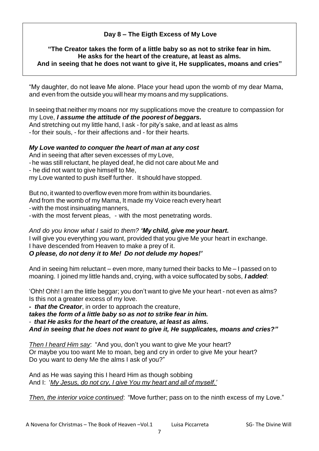# **Day 8 – The Eigth Excess of My Love**

#### **"The Creator takes the form of a little baby so as not to strike fear in him. He asks for the heart of the creature, at least as alms. And in seeing that he does not want to give it, He supplicates, moans and cries"**

"My daughter, do not leave Me alone. Place your head upon the womb of my dear Mama, and even from the outside you will hear my moans and my supplications.

In seeing that neither my moans nor my supplications move the creature to compassion for my Love, *I assume the attitude of the poorest of beggars.*

And stretching out my little hand, I ask - for pity's sake, and at least as alms - for their souls, - for their affections and - for their hearts.

# *My Love wanted to conquer the heart of man at any cost*

And in seeing that after seven excesses of my Love,

- -he was still reluctant, he played deaf, he did not care about Me and
- he did not want to give himself to Me,

my Love wanted to push itself further. It should have stopped.

But no, it wanted to overflow even more from within its boundaries.

And from the womb of my Mama, It made my Voice reach every heart

-with the most insinuating manners,

-with the most fervent pleas, - with the most penetrating words.

*And do you know what I said to them? 'My child, give me your heart.* I will give you everything you want, provided that you give Me your heart in exchange. I have descended from Heaven to make a prey of it.

# *O please, do not deny it to Me! Do not delude my hopes!'*

And in seeing him reluctant – even more, many turned their backs to Me – I passed on to moaning. I joined my little hands and, crying, with a voice suffocated by sobs, *I added*:

'Ohh! Ohh! I am the little beggar; you don't want to give Me your heart - not even as alms? Is this not a greater excess of my love.

*- that the Creator*, in order to approach the creature,

*takes the form of a little baby so as not to strike fear in him.*

- *that He asks for the heart of the creature, at least as alms.*

*And in seeing that he does not want to give it, He supplicates, moans and cries?"*

*Then I heard Him say*: "And you, don't you want to give Me your heart? Or maybe you too want Me to moan, beg and cry in order to give Me your heart? Do you want to deny Me the alms I ask of you?"

And as He was saying this I heard Him as though sobbing And I: '*My Jesus, do not cry, I give You my heart and all of myself.'*

*Then, the interior voice continued*: "Move further; pass on to the ninth excess of my Love."